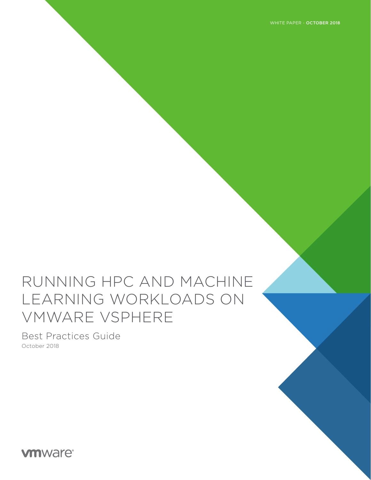WHITE PAPER - OCTOBER 2018

# RUNNING HPC AND MACHINE LEARNING WORKLOADS ON VMWARE VSPHERE

Best Practices Guide October 2018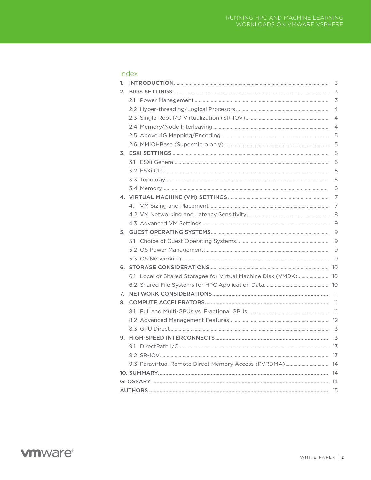| ٣<br>. . | 정도 보기 | e<br>S |
|----------|-------|--------|
|          |       |        |

| 1. |                                                                 | 3              |  |  |  |
|----|-----------------------------------------------------------------|----------------|--|--|--|
| 2. |                                                                 | $\overline{3}$ |  |  |  |
|    |                                                                 | $\overline{3}$ |  |  |  |
|    |                                                                 | $\overline{4}$ |  |  |  |
|    |                                                                 | $\overline{4}$ |  |  |  |
|    |                                                                 | $\overline{4}$ |  |  |  |
|    |                                                                 | 5              |  |  |  |
|    |                                                                 | 5              |  |  |  |
|    |                                                                 | 5              |  |  |  |
|    |                                                                 | 5              |  |  |  |
|    |                                                                 | 5              |  |  |  |
|    |                                                                 | 6              |  |  |  |
|    |                                                                 | 6              |  |  |  |
|    |                                                                 | 7              |  |  |  |
|    |                                                                 | 7              |  |  |  |
|    |                                                                 | 8              |  |  |  |
|    |                                                                 | 9              |  |  |  |
|    |                                                                 | 9              |  |  |  |
|    |                                                                 | 9              |  |  |  |
|    |                                                                 | 9              |  |  |  |
|    |                                                                 | 9              |  |  |  |
|    |                                                                 |                |  |  |  |
|    | 6.1 Local or Shared Storagae for Virtual Machine Disk (VMDK) 10 |                |  |  |  |
|    |                                                                 |                |  |  |  |
| 7. |                                                                 | 11             |  |  |  |
|    |                                                                 | 11             |  |  |  |
|    |                                                                 | 11             |  |  |  |
|    |                                                                 |                |  |  |  |
|    |                                                                 |                |  |  |  |
|    |                                                                 |                |  |  |  |
|    |                                                                 |                |  |  |  |
|    |                                                                 |                |  |  |  |
|    | 9.3 Paravirtual Remote Direct Memory Access (PVRDMA) 14         |                |  |  |  |
|    |                                                                 |                |  |  |  |
|    |                                                                 |                |  |  |  |
|    |                                                                 |                |  |  |  |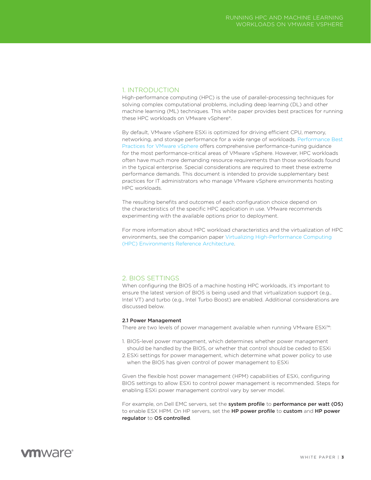### <span id="page-2-0"></span>1. INTRODUCTION

High-performance computing (HPC) is the use of parallel-processing techniques for solving complex computational problems, including deep learning (DL) and other machine learning (ML) techniques. This white paper provides best practices for running these HPC workloads on VMware vSphere®.

By default, VMware vSphere ESXi is optimized for driving efficient CPU, memory, networking, and storage performance for a wide range of workloads. [Performance Best](https://www.vmware.com/content/dam/digitalmarketing/vmware/en/pdf/techpaper/performance/vsphere-esxi-vcenter-server-67-performance-best-practices.pdf)  [Practices for VMware vSphere](https://www.vmware.com/content/dam/digitalmarketing/vmware/en/pdf/techpaper/performance/vsphere-esxi-vcenter-server-67-performance-best-practices.pdf) offers comprehensive performance-tuning guidance for the most performance-critical areas of VMware vSphere. However, HPC workloads often have much more demanding resource requirements than those workloads found in the typical enterprise. Special considerations are required to meet these extreme performance demands. This document is intended to provide supplementary best practices for IT administrators who manage VMware vSphere environments hosting HPC workloads.

The resulting benefits and outcomes of each configuration choice depend on the characteristics of the specific HPC application in use. VMware recommends experimenting with the available options prior to deployment.

For more information about HPC workload characteristics and the virtualization of HPC environments, see the companion paper [Virtualizing High-Performance Computing](https://www.vmware.com/content/dam/digitalmarketing/vmware/en/pdf/solutions/vmw-hpc-reference-architecture.pdf)  [\(HPC\) Environments Reference Architecture](https://www.vmware.com/content/dam/digitalmarketing/vmware/en/pdf/solutions/vmw-hpc-reference-architecture.pdf).

### 2. BIOS SETTINGS

When configuring the BIOS of a machine hosting HPC workloads, it's important to ensure the latest version of BIOS is being used and that virtualization support (e.g., Intel VT) and turbo (e.g., Intel Turbo Boost) are enabled. Additional considerations are discussed below.

### 2.1 Power Management

There are two levels of power management available when running VMware ESXi™:

- 1. BIOS-level power management, which determines whether power management should be handled by the BIOS, or whether that control should be ceded to ESXi
- 2.ESXi settings for power management, which determine what power policy to use when the BIOS has given control of power management to ESXi

Given the flexible host power management (HPM) capabilities of ESXi, configuring BIOS settings to allow ESXi to control power management is recommended. Steps for enabling ESXi power management control vary by server model.

For example, on Dell EMC servers, set the system profile to performance per watt (OS) to enable ESX HPM. On HP servers, set the HP power profile to custom and HP power regulator to OS controlled.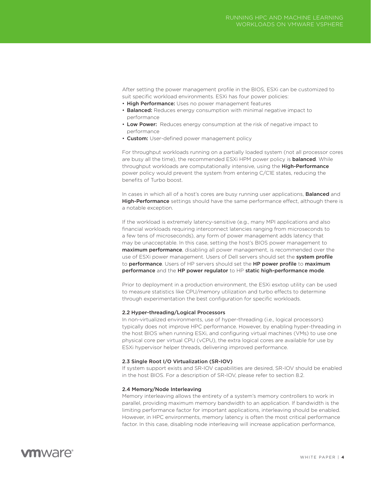<span id="page-3-0"></span>After setting the power management profile in the BIOS, ESXi can be customized to suit specific workload environments. ESXi has four power policies:

- High Performance: Uses no power management features
- Balanced: Reduces energy consumption with minimal negative impact to performance
- Low Power: Reduces energy consumption at the risk of negative impact to performance
- Custom: User-defined power management policy

For throughput workloads running on a partially loaded system (not all processor cores are busy all the time), the recommended ESXi HPM power policy is **balanced**. While throughput workloads are computationally intensive, using the High-Performance power policy would prevent the system from entering C/C1E states, reducing the benefits of Turbo boost.

In cases in which all of a host's cores are busy running user applications, **Balanced** and **High-Performance** settings should have the same performance effect, although there is a notable exception.

If the workload is extremely latency-sensitive (e.g., many MPI applications and also financial workloads requiring interconnect latencies ranging from microseconds to a few tens of microseconds), any form of power management adds latency that may be unacceptable. In this case, setting the host's BIOS power management to maximum performance, disabling all power management, is recommended over the use of ESXi power management. Users of Dell servers should set the system profile to performance. Users of HP servers should set the HP power profile to maximum performance and the HP power regulator to HP static high-performance mode.

Prior to deployment in a production environment, the ESXi esxtop utility can be used to measure statistics like CPU/memory utilization and turbo effects to determine through experimentation the best configuration for specific workloads.

### 2.2 Hyper-threading/Logical Processors

In non-virtualized environments, use of hyper-threading (i.e., logical processors) typically does not improve HPC performance. However, by enabling hyper-threading in the host BIOS when running ESXi, and configuring virtual machines (VMs) to use one physical core per virtual CPU (vCPU), the extra logical cores are available for use by ESXi hypervisor helper threads, delivering improved performance.

#### 2.3 Single Root I/O Virtualization (SR-IOV)

If system support exists and SR-IOV capabilities are desired, SR-IOV should be enabled in the host BIOS. For a description of SR-IOV, please refer to section 8.2.

### 2.4 Memory/Node Interleaving

Memory interleaving allows the entirety of a system's memory controllers to work in parallel, providing maximum memory bandwidth to an application. If bandwidth is the limiting performance factor for important applications, interleaving should be enabled. However, in HPC environments, memory latency is often the most critical performance factor. In this case, disabling node interleaving will increase application performance,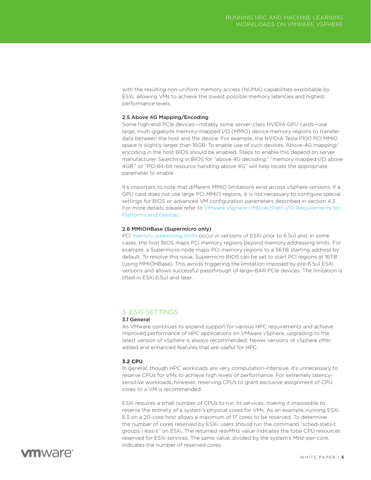<span id="page-4-0"></span>with the resulting non-uniform memory access (NUMA) capabilities exploitable by ESXi, allowing VMs to achieve the lowest possible memory latencies and highest performance levels.

### 2.5 Above 4G Mapping/Encoding

Some high-end PCIe devices—notably some server-class NVIDIA GPU cards—use large, multi-gigabyte memory-mapped I/O (MMIO) device memory regions to transfer data between the host and the device. For example, the NVIDIA Tesla P100 PCI MMIO space is slightly larger than 16GB. To enable use of such devices, Above-4G mapping/ encoding in the host BIOS should be enabled. Steps to enable this depend on server manufacturer. Searching in BIOS for "above 4G decoding," "memory mapped I/O above 4GB," or "PCI 64-bit resource handling above 4G" will help locate the appropriate parameter to enable.

It's important to note that different MMIO limitations exist across vSphere versions. If a GPU card does not use large PCI MMIO regions, it is not necessary to configure special settings for BIOS or advanced VM configuration parameters described in section 4.3. For more details, please refer to [VMware vSphere VMDirectPath I/O: Requirements for](https://kb.vmware.com/s/article/2142307)  [Platforms and Devices.](https://kb.vmware.com/s/article/2142307)

### 2.6 MMIOHBase (Supermicro only)

PCI [memory addressing limits](https://kb.vmware.com/s/article/2087943) occur in versions of ESXi prior to 6.5u1 and, in some cases, the host BIOS maps PCI memory regions beyond memory addressing limits. For example, a Supermicro node maps PCI memory regions to a 56TB starting address by default. To resolve this issue, Supermicro BIOS can be set to start PCI regions at 16TB (using MMIOHBase). This avoids triggering the limitation imposed by pre-6.5u1 ESXi versions and allows successful passthrough of large-BAR PCIe devices. The limitation is lifted in ESXi 6.5u1 and later.

### 3. ESXI SETTINGS

### 3.1 General

As VMware continues to expand support for various HPC requirements and achieve improved performance of HPC applications on VMware vSphere, upgrading to the latest version of vSphere is always recommended. Newer versions of vSphere offer added and enhanced features that are useful for HPC.

### **3.2 CPU**

In general, though HPC workloads are very computation-intensive, it's unnecessary to reserve CPUs for VMs to achieve high levels of performance. For extremely latencysensitive workloads, however, reserving CPUs to grant exclusive assignment of CPU cores to a VM is recommended.

ESXi requires a small number of CPUs to run its services, making it impossible to reserve the entirety of a system's physical cores for VMs. As an example, running ESXi 6.5 on a 20-core host allows a maximum of 17 cores to be reserved. To determine the number of cores reserved by ESXi, users should run the command "sched-stats-t groups | less-s" on ESXi. The returned resvMHz value indicates the total CPU resources reserved for ESXi services. The same value, divided by the system's MHz-per-core, indicates the number of reserved cores.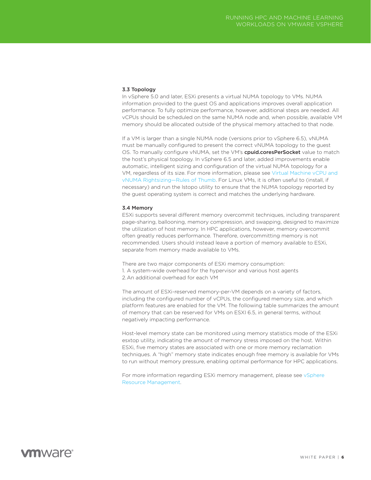### <span id="page-5-0"></span>3.3 Topology

In vSphere 5.0 and later, ESXi presents a virtual NUMA topology to VMs. NUMA information provided to the guest OS and applications improves overall application performance. To fully optimize performance, however, additional steps are needed. All vCPUs should be scheduled on the same NUMA node and, when possible, available VM memory should be allocated outside of the physical memory attached to that node.

If a VM is larger than a single NUMA node (versions prior to vSphere 6.5), vNUMA must be manually configured to present the correct vNUMA topology to the guest OS. To manually configure vNUMA, set the VM's cpuid.coresPerSocket value to match the host's physical topology. In vSphere 6.5 and later, added improvements enable automatic, intelligent sizing and configuration of the virtual NUMA topology for a VM, regardless of its size. For more information, please see [Virtual Machine vCPU and](https://blogs.vmware.com/performance/2017/03/virtual-machine-vcpu-and-vnuma-rightsizing-rules-of-thumb.html)  [vNUMA Rightsizing—Rules of Thumb](https://blogs.vmware.com/performance/2017/03/virtual-machine-vcpu-and-vnuma-rightsizing-rules-of-thumb.html). For Linux VMs, it is often useful to (install, if necessary) and run the lstopo utility to ensure that the NUMA topology reported by the guest operating system is correct and matches the underlying hardware.

#### 3.4 Memory

ESXi supports several different memory overcommit techniques, including transparent page-sharing, ballooning, memory compression, and swapping, designed to maximize the utilization of host memory. In HPC applications, however, memory overcommit often greatly reduces performance. Therefore, overcommitting memory is not recommended. Users should instead leave a portion of memory available to ESXi, separate from memory made available to VMs.

There are two major components of ESXi memory consumption: 1. A system-wide overhead for the hypervisor and various host agents 2.An additional overhead for each VM

The amount of ESXi-reserved memory-per-VM depends on a variety of factors, including the configured number of vCPUs, the configured memory size, and which platform features are enabled for the VM. The following table summarizes the amount of memory that can be reserved for VMs on ESXI 6.5, in general terms, without negatively impacting performance.

Host-level memory state can be monitored using memory statistics mode of the ESXi esxtop utility, indicating the amount of memory stress imposed on the host. Within ESXi, five memory states are associated with one or more memory reclamation techniques. A "high" memory state indicates enough free memory is available for VMs to run without memory pressure, enabling optimal performance for HPC applications.

For more information regarding ESXi memory management, please see vSphere [Resource Management.](https://docs.vmware.com/en/VMware-vSphere/6.7/vsphere-esxi-vcenter-server-67-resource-management-guide.pdf)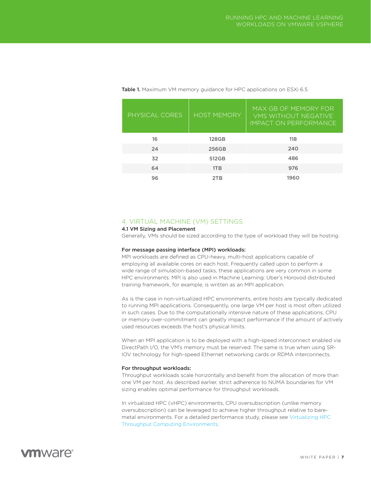| PHYSICAL CORES | <b>HOST MEMORY</b> | MAX GB OF MEMORY FOR<br><b>VMS WITHOUT NEGATIVE</b><br>IMPACT ON PERFORMANCE |
|----------------|--------------------|------------------------------------------------------------------------------|
| 16             | <b>128GB</b>       | 118                                                                          |
| 24             | 256GB              | 240                                                                          |
| 32             | 512GB              | 486                                                                          |
| 64             | 1T <sub>B</sub>    | 976                                                                          |
| 96             | 2TR                | 1960                                                                         |

<span id="page-6-0"></span>Table 1. Maximum VM memory guidance for HPC applications on ESXi 6.5

### 4. VIRTUAL MACHINE (VM) SETTINGS

### 4.1 VM Sizing and Placement

Generally, VMs should be sized according to the type of workload they will be hosting.

### For message passing interface (MPI) workloads:

MPI workloads are defined as CPU-heavy, multi-host applications capable of employing all available cores on each host. Frequently called upon to perform a wide range of simulation-based tasks, these applications are very common in some HPC environments. MPI is also used in Machine Learning: Uber's Horovod distributed training framework, for example, is written as an MPI application.

As is the case in non-virtualized HPC environments, entire hosts are typically dedicated to running MPI applications. Consequently, one large VM per host is most often utilized in such cases. Due to the computationally intensive nature of these applications, CPU or memory over-commitment can greatly impact performance if the amount of actively used resources exceeds the host's physical limits.

When an MPI application is to be deployed with a high-speed interconnect enabled via DirectPath I/O, the VM's memory must be reserved. The same is true when using SR-IOV technology for high-speed Ethernet networking cards or RDMA interconnects.

#### For throughput workloads:

Throughput workloads scale horizontally and benefit from the allocation of more than one VM per host. As described earlier, strict adherence to NUMA boundaries for VM sizing enables optimal performance for throughput workloads.

In virtualized HPC (vHPC) environments, CPU oversubscription (unlike memory oversubscription) can be leveraged to achieve higher throughput relative to baremetal environments. For a detailed performance study, please see [Virtualizing HPC](https://www.vmware.com/content/dam/digitalmarketing/vmware/en/pdf/solutions/vmware-virtualizing-hpc-throughput-computing-environments.pdf)  [Throughput Computing Environments.](https://www.vmware.com/content/dam/digitalmarketing/vmware/en/pdf/solutions/vmware-virtualizing-hpc-throughput-computing-environments.pdf)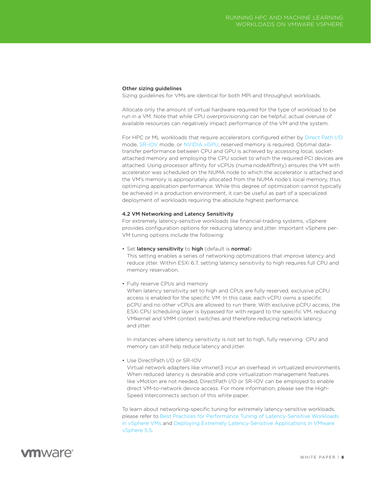### <span id="page-7-0"></span>Other sizing guidelines

Sizing guidelines for VMs are identical for both MPI and throughput workloads.

Allocate only the amount of virtual hardware required for the type of workload to be run in a VM. Note that while CPU overprovisioning can be helpful, actual overuse of available resources can negatively impact performance of the VM and the system.

For HPC or ML workloads that require accelerators configured either by [Direct Path I/O](https://docs.vmware.com/en/VMware-vSphere/6.7/com.vmware.vsphere.networking.doc/GUID-BF2770C3-39ED-4BC5-A8EF-77D55EFE924C.html) mode, [SR-IOV](https://docs.vmware.com/en/VMware-vSphere/6.7/com.vmware.vsphere.networking.doc/GUID-E8E8D7B2-FE67-4B4F-921F-C3D6D7223869.html) mode, or [NVIDIA vGPU](https://www.nvidia.com/en-us/design-visualization/vmware/), reserved memory is required. Optimal datatransfer performance between CPU and GPU is achieved by accessing local, socketattached memory and employing the CPU socket to which the required PCI devices are attached. Using processor affinity for vCPUs (numa.nodeAffinity) ensures the VM with accelerator was scheduled on the NUMA node to which the accelerator is attached and the VM's memory is appropriately allocated from the NUMA node's local memory, thus optimizing application performance. While this degree of optimization cannot typically be achieved in a production environment, it can be useful as part of a specialized deployment of workloads requiring the absolute highest performance.

#### 4.2 VM Networking and Latency Sensitivity

For extremely latency-sensitive workloads like financial-trading systems, vSphere provides configuration options for reducing latency and jitter. Important vSphere per-VM tuning options include the following:

• Set latency sensitivity to high (default is normal)

This setting enables a series of networking optimizations that improve latency and reduce jitter. Within ESXi 6.7, setting latency sensitivity to high requires full CPU and memory reservation.

• Fully reserve CPUs and memory

When latency sensitivity set to high and CPUs are fully reserved, exclusive pCPU access is enabled for the specific VM. In this case, each vCPU owns a specific pCPU and no other vCPUs are allowed to run there. With exclusive pCPU access, the ESXi CPU scheduling layer is bypassed for with regard to the specific VM, reducing VMkernel and VMM context switches and therefore reducing network latency and jitter.

In instances where latency sensitivity is not set to high, fully reserving CPU and memory can still help reduce latency and jitter.

• Use DirectPath I/O or SR-IOV

Virtual network adapters like vmxnet3 incur an overhead in virtualized environments. When reduced latency is desirable and core virtualization management features like vMotion are not needed, DirectPath I/O or SR-IOV can be employed to enable direct VM-to-network device access. For more information, please see the High-Speed Interconnects section of this white paper.

To learn about networking-specific tuning for extremely latency-sensitive workloads, please refer to [Best Practices for Performance Tuning of Latency-Sensitive Workloads](https://www.vmware.com/techpapers/2011/best-practices-for-performance-tuning-of-latency-s-10220.html)  [in vSphere VMs](https://www.vmware.com/techpapers/2011/best-practices-for-performance-tuning-of-latency-s-10220.html) and [Deploying Extremely Latency-Sensitive Applications in VMware](https://www.vmware.com/content/dam/digitalmarketing/vmware/en/pdf/techpaper/latency-sensitive-perf-vsphere55-white-paper.pdf)  [vSphere 5.5.](https://www.vmware.com/content/dam/digitalmarketing/vmware/en/pdf/techpaper/latency-sensitive-perf-vsphere55-white-paper.pdf)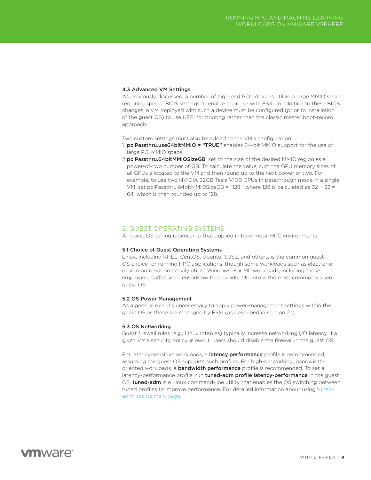### <span id="page-8-0"></span>4.3 Advanced VM Settings

As previously discussed, a number of high-end PCIe devices utilize a large MMIO space, requiring special BIOS settings to enable their use with ESXi. In addition to these BIOS changes, a VM deployed with such a device must be configured (prior to installation of the guest OS) to use UEFI for booting rather than the classic master boot-record approach.

Two custom settings must also be added to the VM's configuration:

- 1. pciPassthru.use64bitMMIO = "TRUE" enables 64-bit MMIO support for the use of large PCI MMIO space
- 2. pciPassthru.64bitMMIOSizeGB, set to the size of the desired MMIO region as a power-of-two number of GB. To calculate the value, sum the GPU memory sizes of all GPUs allocated to the VM and then round up to the next power of two. For example, to use two NVIDIA 32GB Tesla V100 GPUs in passthrough mode in a single VM, set pciPassthru.64bitMMIOSizeGB = "128", where 128 is calculated as 32 + 32 = 64, which is then rounded up to 128.

### 5. GUEST OPERATING SYSTEMS

All guest OS tuning is similar to that applied in bare-metal HPC environments.

### 5.1 Choice of Guest Operating Systems

Linux, including RHEL, CentOS, Ubuntu, SUSE, and others, is the common guest OS choice for running HPC applications, though some workloads such as electronic design-automation heavily utilize Windows. For ML workloads, including those employing Caffe2 and TensorFlow frameworks, Ubuntu is the most commonly used guest OS.

#### 5.2 OS Power Management

As a general rule, it's unnecessary to apply power-management settings within the guest OS as these are managed by ESXi (as described in section 2.1).

#### 5.3 OS Networking

Guest firewall rules (e.g., Linux iptables) typically increase networking I/O latency. If a given VM's security policy allows it, users should disable the firewall in the guest OS.

For latency-sensitive workloads, a **latency performance** profile is recommended, assuming the guest OS supports such profiles. For high-networking, bandwidthoriented workloads, a **bandwidth performance** profile is recommended. To set a latency-performance profile, run tuned-adm profile latency-performance in the guest OS. **tuned-adm** is a Linux command-line utility that enables the OS switching between tuned profiles to improve performance. For detailed information about using [tuned](https://linux.die.net/man/1/tuned-adm)[adm, see its main page](https://linux.die.net/man/1/tuned-adm).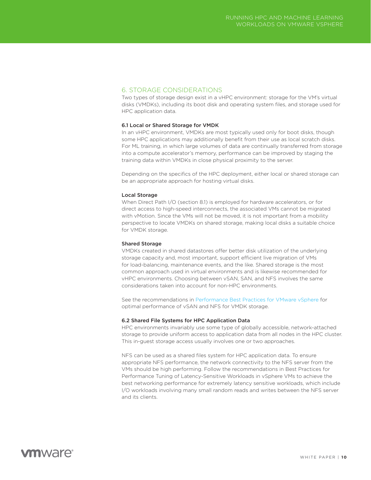### <span id="page-9-0"></span>6. STORAGE CONSIDERATIONS

Two types of storage design exist in a vHPC environment: storage for the VM's virtual disks (VMDKs), including its boot disk and operating system files, and storage used for HPC application data.

### 6.1 Local or Shared Storage for VMDK

In an vHPC environment, VMDKs are most typically used only for boot disks, though some HPC applications may additionally benefit from their use as local scratch disks. For ML training, in which large volumes of data are continually transferred from storage into a compute accelerator's memory, performance can be improved by staging the training data within VMDKs in close physical proximity to the server.

Depending on the specifics of the HPC deployment, either local or shared storage can be an appropriate approach for hosting virtual disks.

### Local Storage

When Direct Path I/O (section 8.1) is employed for hardware accelerators, or for direct access to high-speed interconnects, the associated VMs cannot be migrated with vMotion. Since the VMs will not be moved, it is not important from a mobility perspective to locate VMDKs on shared storage, making local disks a suitable choice for VMDK storage.

### Shared Storage

VMDKs created in shared datastores offer better disk utilization of the underlying storage capacity and, most important, support efficient live migration of VMs for load-balancing, maintenance events, and the like. Shared storage is the most common approach used in virtual environments and is likewise recommended for vHPC environments. Choosing between vSAN, SAN, and NFS involves the same considerations taken into account for non-HPC environments.

See the recommendations in [Performance Best Practices for VMware vSphere](https://www.vmware.com/content/dam/digitalmarketing/vmware/en/pdf/techpaper/performance/vsphere-esxi-vcenter-server-67-performance-best-practices.pdf) for optimal performance of vSAN and NFS for VMDK storage.

### 6.2 Shared File Systems for HPC Application Data

HPC environments invariably use some type of globally accessible, network-attached storage to provide uniform access to application data from all nodes in the HPC cluster. This in-guest storage access usually involves one or two approaches.

NFS can be used as a shared files system for HPC application data. To ensure appropriate NFS performance, the network connectivity to the NFS server from the VMs should be high performing. Follow the recommendations in Best Practices for Performance Tuning of Latency-Sensitive Workloads in vSphere VMs to achieve the best networking performance for extremely latency sensitive workloads, which include I/O workloads involving many small random reads and writes between the NFS server and its clients.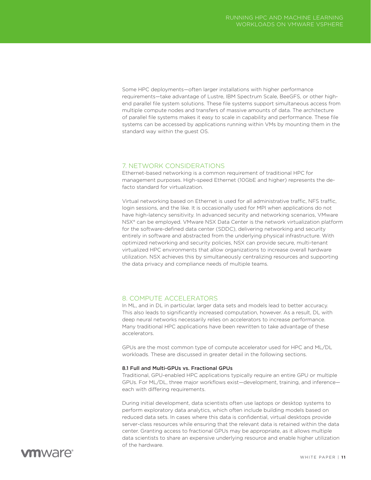<span id="page-10-0"></span>Some HPC deployments—often larger installations with higher performance requirements—take advantage of Lustre, IBM Spectrum Scale, BeeGFS, or other highend parallel file system solutions. These file systems support simultaneous access from multiple compute nodes and transfers of massive amounts of data. The architecture of parallel file systems makes it easy to scale in capability and performance. These file systems can be accessed by applications running within VMs by mounting them in the standard way within the guest OS.

### 7. NETWORK CONSIDERATIONS

Ethernet-based networking is a common requirement of traditional HPC for management purposes. High-speed Ethernet (10GbE and higher) represents the defacto standard for virtualization.

Virtual networking based on Ethernet is used for all administrative traffic, NFS traffic, login sessions, and the like. It is occasionally used for MPI when applications do not have high-latency sensitivity. In advanced security and networking scenarios, VMware NSX® can be employed. VMware NSX Data Center is the network virtualization platform for the software-defined data center (SDDC), delivering networking and security entirely in software and abstracted from the underlying physical infrastructure. With optimized networking and security policies, NSX can provide secure, multi-tenant virtualized HPC environments that allow organizations to increase overall hardware utilization. NSX achieves this by simultaneously centralizing resources and supporting the data privacy and compliance needs of multiple teams.

### 8. COMPUTE ACCELERATORS

In ML, and in DL in particular, larger data sets and models lead to better accuracy. This also leads to significantly increased computation, however. As a result, DL with deep neural networks necessarily relies on accelerators to increase performance. Many traditional HPC applications have been rewritten to take advantage of these accelerators.

GPUs are the most common type of compute accelerator used for HPC and ML/DL workloads. These are discussed in greater detail in the following sections.

### 8.1 Full and Multi-GPUs vs. Fractional GPUs

Traditional, GPU-enabled HPC applications typically require an entire GPU or multiple GPUs. For ML/DL, three major workflows exist—development, training, and inference each with differing requirements.

During initial development, data scientists often use laptops or desktop systems to perform exploratory data analytics, which often include building models based on reduced data sets. In cases where this data is confidential, virtual desktops provide server-class resources while ensuring that the relevant data is retained within the data center. Granting access to fractional GPUs may be appropriate, as it allows multiple data scientists to share an expensive underlying resource and enable higher utilization of the hardware.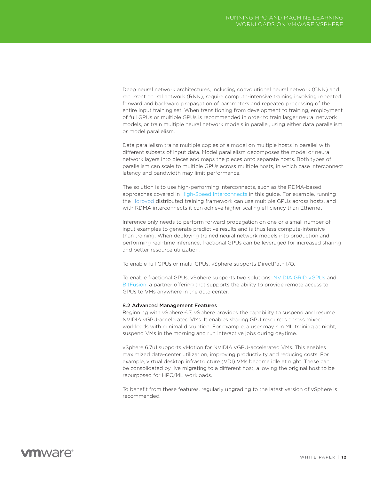<span id="page-11-0"></span>Deep neural network architectures, including convolutional neural network (CNN) and recurrent neural network (RNN), require compute-intensive training involving repeated forward and backward propagation of parameters and repeated processing of the entire input training set. When transitioning from development to training, employment of full GPUs or multiple GPUs is recommended in order to train larger neural network models, or train multiple neural network models in parallel, using either data parallelism or model parallelism.

Data parallelism trains multiple copies of a model on multiple hosts in parallel with different subsets of input data. Model parallelism decomposes the model or neural network layers into pieces and maps the pieces onto separate hosts. Both types of parallelism can scale to multiple GPUs across multiple hosts, in which case interconnect latency and bandwidth may limit performance.

The solution is to use high-performing interconnects, such as the RDMA-based approaches covered in [High-Speed Interconnects](#page-12-0) in this guide. For example, running the [Horovod](https://github.com/uber/horovod) distributed training framework can use multiple GPUs across hosts, and with RDMA interconnects it can achieve higher scaling efficiency than Ethernet.

Inference only needs to perform forward propagation on one or a small number of input examples to generate predictive results and is thus less compute-intensive than training. When deploying trained neural network models into production and performing real-time inference, fractional GPUs can be leveraged for increased sharing and better resource utilization.

To enable full GPUs or multi-GPUs, vSphere supports DirectPath I/O.

To enable fractional GPUs, vSphere supports two solutions: [NVIDIA GRID vGPUs](https://www.nvidia.com/en-us/design-visualization/technologies/virtual-gpu/) and [BitFusion,](https://bitfusion.io/) a partner offering that supports the ability to provide remote access to GPUs to VMs anywhere in the data center.

#### 8.2 Advanced Management Features

Beginning with vSphere 6.7, vSphere provides the capability to suspend and resume NVIDIA vGPU-accelerated VMs. It enables sharing GPU resources across mixed workloads with minimal disruption. For example, a user may run ML training at night, suspend VMs in the morning and run interactive jobs during daytime.

vSphere 6.7u1 supports vMotion for NVIDIA vGPU-accelerated VMs. This enables maximized data-center utilization, improving productivity and reducing costs. For example, virtual desktop infrastructure (VDI) VMs become idle at night. These can be consolidated by live migrating to a different host, allowing the original host to be repurposed for HPC/ML workloads.

To benefit from these features, regularly upgrading to the latest version of vSphere is recommended.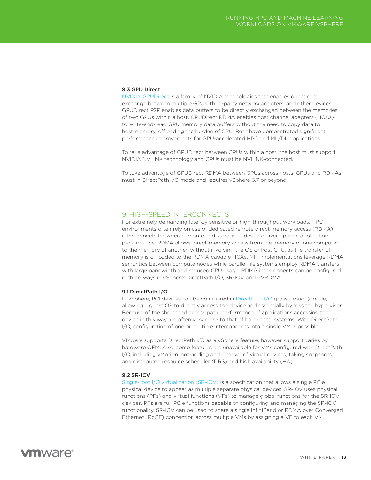### <span id="page-12-0"></span>8.3 GPU Direct

[NVIDIA GPUDirect](https://developer.nvidia.com/gpudirect) is a family of NVIDIA technologies that enables direct data exchange between multiple GPUs, third-party network adapters, and other devices. GPUDirect P2P enables data buffers to be directly exchanged between the memories of two GPUs within a host. GPUDirect RDMA enables host channel adapters (HCAs) to write-and-read GPU memory data buffers without the need to copy data to host memory, offloading the burden of CPU. Both have demonstrated significant performance improvements for GPU-accelerated HPC and ML/DL applications.

To take advantage of GPUDirect between GPUs within a host, the host must support NVIDIA NVLINK technology and GPUs must be NVLINK-connected.

To take advantage of GPUDirect RDMA between GPUs across hosts, GPUs and RDMAs must in DirectPath I/O mode and requires vSphere 6.7 or beyond.

### 9. HIGH-SPEED INTERCONNECTS

For extremely demanding latency-sensitive or high-throughput workloads, HPC environments often rely on use of dedicated remote direct memory access (RDMA) interconnects between compute and storage nodes to deliver optimal application performance. RDMA allows direct-memory access from the memory of one computer to the memory of another, without involving the OS or host CPU, as the transfer of memory is offloaded to the RDMA-capable HCAs. MPI implementations leverage RDMA semantics between compute nodes while parallel file systems employ RDMA transfers with large bandwidth and reduced CPU usage. RDMA interconnects can be configured in three ways in vSphere: DirectPath I/O, SR-IOV. and PVRDMA.

### 9.1 DirectPath I/O

In vSphere, PCI devices can be configured in [DirectPath I/O](https://docs.vmware.com/en/VMware-vSphere/6.5/com.vmware.vsphere.networking.doc/GUID-BF2770C3-39ED-4BC5-A8EF-77D55EFE924C.html) (passthrough) mode, allowing a guest OS to directly access the device and essentially bypass the hypervisor. Because of the shortened access path, performance of applications accessing the device in this way are often very close to that of bare-metal systems. With DirectPath I/O, configuration of one or multiple interconnects into a single VM is possible.

VMware supports DirectPath I/O as a vSphere feature, however support varies by hardware OEM. Also, some features are unavailable for VMs configured with DirectPath I/O, including vMotion, hot-adding and removal of virtual devices, taking snapshots, and distributed resource scheduler (DRS) and high availability (HA).

### 9.2 SR-IOV

[Single-root I/O virtualization \(SR-IOV\)](https://docs.vmware.com/en/VMware-vSphere/6.0/com.vmware.vsphere.networking.doc/GUID-E8E8D7B2-FE67-4B4F-921F-C3D6D7223869.html) is a specification that allows a single PCIe physical device to appear as multiple separate physical devices. SR-IOV uses physical functions (PFs) and virtual functions (VFs) to manage global functions for the SR-IOV devices. PFs are full PCIe functions capable of configuring and managing the SR-IOV functionality. SR-IOV can be used to share a single InfiniBand or RDMA over Converged Ethernet (RoCE) connection across multiple VMs by assigning a VF to each VM.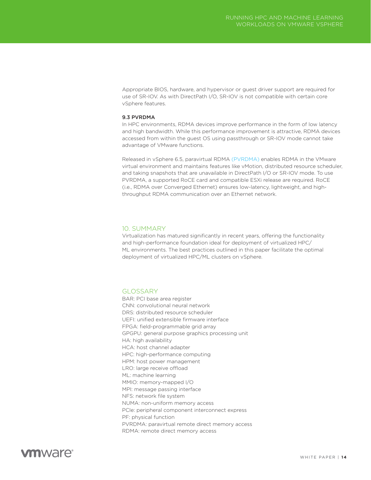<span id="page-13-0"></span>Appropriate BIOS, hardware, and hypervisor or guest driver support are required for use of SR-IOV. As with DirectPath I/O, SR-IOV is not compatible with certain core vSphere features.

### 9.3 PVRDMA

In HPC environments, RDMA devices improve performance in the form of low latency and high bandwidth. While this performance improvement is attractive, RDMA devices accessed from within the guest OS using passthrough or SR-IOV mode cannot take advantage of VMware functions.

Released in vSphere 6.5, paravirtual RDMA [\(PVRDMA\)](https://docs.vmware.com/en/VMware-vSphere/6.5/com.vmware.vsphere.networking.doc/GUID-4A5EBD44-FB1E-4A83-BB47-BBC65181E1C2.html) enables RDMA in the VMware virtual environment and maintains features like vMotion, distributed resource scheduler, and taking snapshots that are unavailable in DirectPath I/O or SR-IOV mode. To use PVRDMA, a supported RoCE card and compatible ESXi release are required. RoCE (i.e., RDMA over Converged Ethernet) ensures low-latency, lightweight, and highthroughput RDMA communication over an Ethernet network.

### 10. SUMMARY

Virtualization has matured significantly in recent years, offering the functionality and high-performance foundation ideal for deployment of virtualized HPC/ ML environments. The best practices outlined in this paper facilitate the optimal deployment of virtualized HPC/ML clusters on vSphere.

### GLOSSARY

BAR: PCI base area register CNN: convolutional neural network DRS: distributed resource scheduler UEFI: unified extensible firmware interface FPGA: field-programmable grid array GPGPU: general purpose graphics processing unit HA: high availability HCA: host channel adapter HPC: high-performance computing HPM: host power management LRO: large receive offload ML: machine learning MMIO: memory-mapped I/O MPI: message passing interface NFS: network file system NUMA: non-uniform memory access PCIe: peripheral component interconnect express PF: physical function PVRDMA: paravirtual remote direct memory access RDMA: remote direct memory access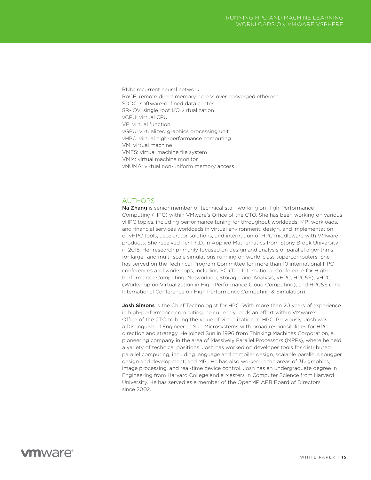<span id="page-14-0"></span>RNN: recurrent neural network RoCE: remote direct memory access over converged ethernet SDDC: software-defined data center SR-IOV: single root I/O virtualization vCPU: virtual CPU VF: virtual function vGPU: virtualized graphics processing unit vHPC: virtual high-performance computing VM: virtual machine VMFS: virtual machine file system VMM: virtual machine monitor vNUMA: virtual non-uniform memory access

### **AUTHORS**

Na Zhang is senior member of technical staff working on High-Performance Computing (HPC) within VMware's Office of the CTO. She has been working on various vHPC topics, including performance tuning for throughput workloads, MPI workloads, and financial services workloads in virtual environment, design, and implementation of vHPC tools, accelerator solutions, and integration of HPC middleware with VMware products. She received her Ph.D. in Applied Mathematics from Stony Brook University in 2015. Her research primarily focused on design and analysis of parallel algorithms for large- and multi-scale simulations running on world-class supercomputers. She has served on the Technical Program Committee for more than 10 international HPC conferences and workshops, including SC (The International Conference for High-Performance Computing, Networking, Storage, and Analysis, vHPC, HPC&S), vHPC (Workshop on Virtualization in High-Performance Cloud Computing), and HPC&S (The International Conference on High Performance Computing & Simulation).

**Josh Simons** is the Chief Technologist for HPC. With more than 20 years of experience in high-performance computing, he currently leads an effort within VMware's Office of the CTO to bring the value of virtualization to HPC. Previously, Josh was a Distinguished Engineer at Sun Microsystems with broad responsibilities for HPC direction and strategy. He joined Sun in 1996 from Thinking Machines Corporation, a pioneering company in the area of Massively Parallel Processors (MPPs), where he held a variety of technical positions. Josh has worked on developer tools for distributed parallel computing, including language and compiler design, scalable parallel debugger design and development, and MPI. He has also worked in the areas of 3D graphics, image processing, and real-time device control. Josh has an undergraduate degree in Engineering from Harvard College and a Masters in Computer Science from Harvard University. He has served as a member of the OpenMP ARB Board of Directors since 2002.